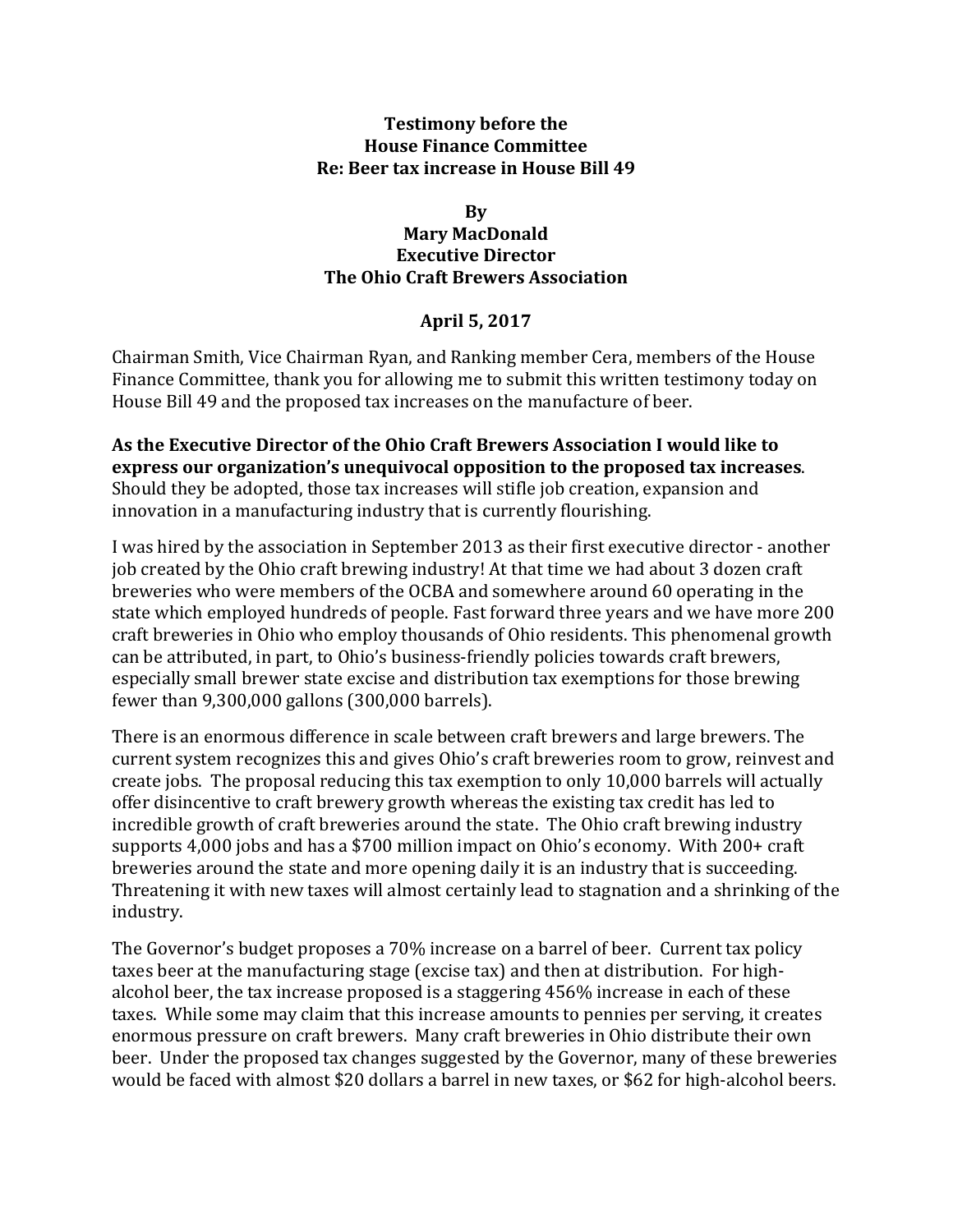## **Testimony before the House Finance Committee Re: Beer tax increase in House Bill 49**

## **By Mary MacDonald Executive Director The Ohio Craft Brewers Association**

## **April 5, 2017**

Chairman Smith, Vice Chairman Ryan, and Ranking member Cera, members of the House Finance Committee, thank you for allowing me to submit this written testimony today on House Bill 49 and the proposed tax increases on the manufacture of beer.

As the Executive Director of the Ohio Craft Brewers Association I would like to **express our organization's unequivocal opposition to the proposed tax increases.** Should they be adopted, those tax increases will stifle job creation, expansion and innovation in a manufacturing industry that is currently flourishing.

I was hired by the association in September 2013 as their first executive director - another job created by the Ohio craft brewing industry! At that time we had about 3 dozen craft breweries who were members of the OCBA and somewhere around 60 operating in the state which employed hundreds of people. Fast forward three years and we have more 200 craft breweries in Ohio who employ thousands of Ohio residents. This phenomenal growth can be attributed, in part, to Ohio's business-friendly policies towards craft brewers, especially small brewer state excise and distribution tax exemptions for those brewing fewer than  $9,300,000$  gallons  $(300,000$  barrels).

There is an enormous difference in scale between craft brewers and large brewers. The current system recognizes this and gives Ohio's craft breweries room to grow, reinvest and create jobs. The proposal reducing this tax exemption to only 10,000 barrels will actually offer disincentive to craft brewery growth whereas the existing tax credit has led to incredible growth of craft breweries around the state. The Ohio craft brewing industry supports 4,000 jobs and has a \$700 million impact on Ohio's economy. With 200+ craft breweries around the state and more opening daily it is an industry that is succeeding. Threatening it with new taxes will almost certainly lead to stagnation and a shrinking of the industry.

The Governor's budget proposes a 70% increase on a barrel of beer. Current tax policy taxes beer at the manufacturing stage (excise tax) and then at distribution. For highalcohol beer, the tax increase proposed is a staggering 456% increase in each of these taxes. While some may claim that this increase amounts to pennies per serving, it creates enormous pressure on craft brewers. Many craft breweries in Ohio distribute their own beer. Under the proposed tax changes suggested by the Governor, many of these breweries would be faced with almost \$20 dollars a barrel in new taxes, or \$62 for high-alcohol beers.